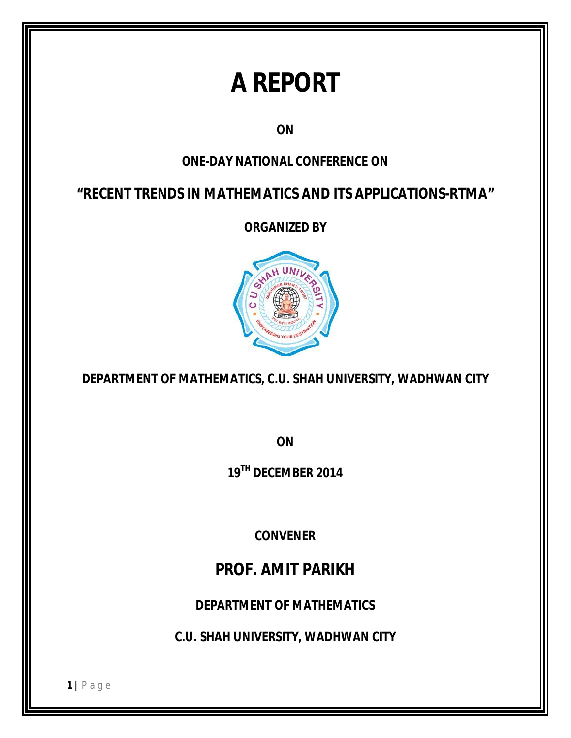## **A REPORT**

## **ON**

## **ONE-DAY NATIONAL CONFERENCE ON**

*"RECENT TRENDS IN MATHEMATICS AND ITS APPLICATIONS-RTMA"*

**ORGANIZED BY**



**DEPARTMENT OF MATHEMATICS, C.U. SHAH UNIVERSITY, WADHWAN CITY**

**ON**

**19TH DECEMBER 2014**

**CONVENER**

**PROF. AMIT PARIKH**

**DEPARTMENT OF MATHEMATICS**

**C.U. SHAH UNIVERSITY, WADHWAN CITY**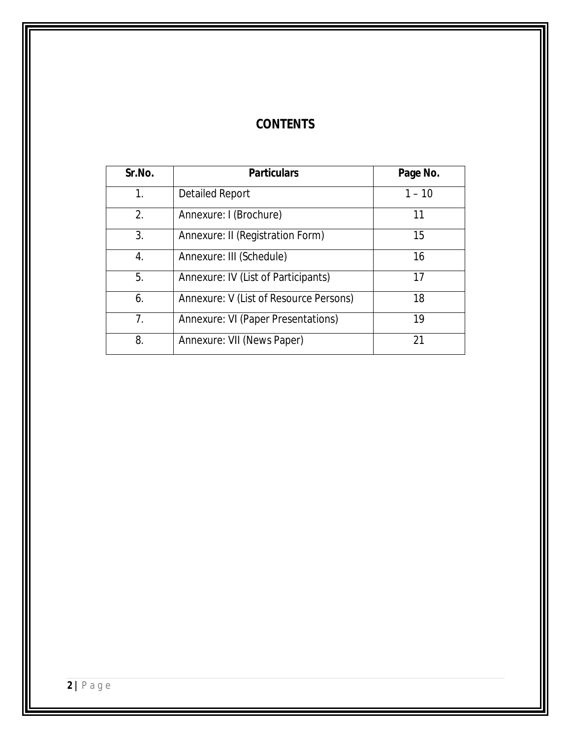## **CONTENTS**

| Sr.No. | <b>Particulars</b>                     | Page No. |
|--------|----------------------------------------|----------|
| 1.     | Detailed Report                        | $1 - 10$ |
| 2.     | Annexure: I (Brochure)                 | 11       |
| 3.     | Annexure: II (Registration Form)       | 15       |
| 4.     | Annexure: III (Schedule)               | 16       |
| 5.     | Annexure: IV (List of Participants)    | 17       |
| 6.     | Annexure: V (List of Resource Persons) | 18       |
| 7.     | Annexure: VI (Paper Presentations)     | 19       |
| 8.     | Annexure: VII (News Paper)             | 21       |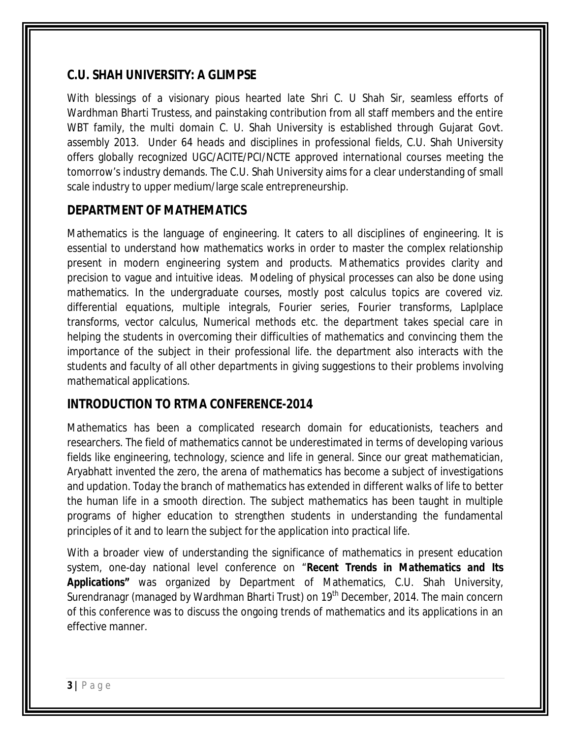## **C.U. SHAH UNIVERSITY: A GLIMPSE**

With blessings of a visionary pious hearted late Shri C. U Shah Sir, seamless efforts of Wardhman Bharti Trustess, and painstaking contribution from all staff members and the entire WBT family, the multi domain C. U. Shah University is established through Gujarat Govt. assembly 2013. Under 64 heads and disciplines in professional fields, C.U. Shah University offers globally recognized UGC/ACITE/PCI/NCTE approved international courses meeting the tomorrow's industry demands. The C.U. Shah University aims for a clear understanding of small scale industry to upper medium/large scale entrepreneurship.

#### **DEPARTMENT OF MATHEMATICS**

Mathematics is the language of engineering. It caters to all disciplines of engineering. It is essential to understand how mathematics works in order to master the complex relationship present in modern engineering system and products. Mathematics provides clarity and precision to vague and intuitive ideas. Modeling of physical processes can also be done using mathematics. In the undergraduate courses, mostly post calculus topics are covered viz. differential equations, multiple integrals, Fourier series, Fourier transforms, Laplplace transforms, vector calculus, Numerical methods etc. the department takes special care in helping the students in overcoming their difficulties of mathematics and convincing them the importance of the subject in their professional life. the department also interacts with the students and faculty of all other departments in giving suggestions to their problems involving mathematical applications.

## **INTRODUCTION TO RTMA CONFERENCE-2014**

Mathematics has been a complicated research domain for educationists, teachers and researchers. The field of mathematics cannot be underestimated in terms of developing various fields like engineering, technology, science and life in general. Since our great mathematician, Aryabhatt invented the zero, the arena of mathematics has become a subject of investigations and updation. Today the branch of mathematics has extended in different walks of life to better the human life in a smooth direction. The subject mathematics has been taught in multiple programs of higher education to strengthen students in understanding the fundamental principles of it and to learn the subject for the application into practical life.

With a broader view of understanding the significance of mathematics in present education system, one-day national level conference on "*Recent Trends in Mathematics and Its Applications"* was organized by Department of Mathematics, C.U. Shah University, Surendranagr (managed by Wardhman Bharti Trust) on 19<sup>th</sup> December, 2014. The main concern of this conference was to discuss the ongoing trends of mathematics and its applications in an effective manner.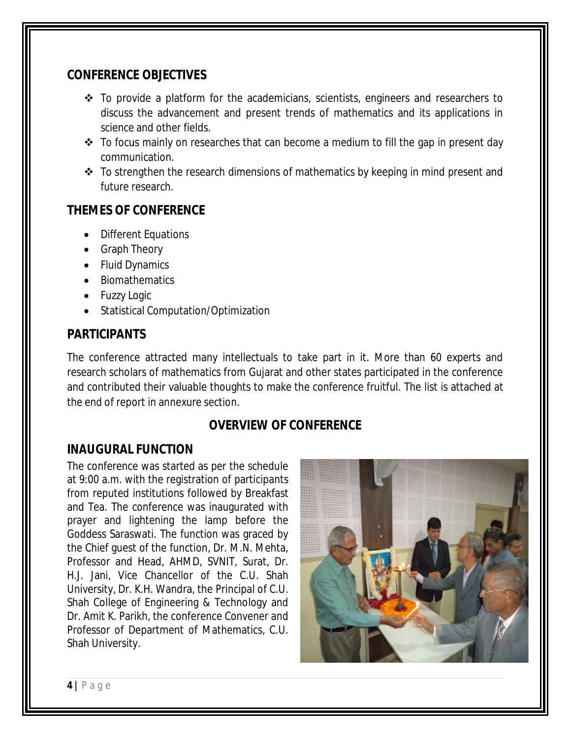#### **CONFERENCE OBJECTIVES**

- $\cdot$  To provide a platform for the academicians, scientists, engineers and researchers to discuss the advancement and present trends of mathematics and its applications in science and other fields.
- $\cdot$  To focus mainly on researches that can become a medium to fill the gap in present day communication.
- $\cdot$  To strengthen the research dimensions of mathematics by keeping in mind present and future research.

#### **THEMES OF CONFERENCE**

- Different Equations
- Graph Theory
- Fluid Dynamics
- Biomathematics
- Fuzzy Logic
- Statistical Computation/Optimization

## **PARTICIPANTS**

The conference attracted many intellectuals to take part in it. More than 60 experts and research scholars of mathematics from Gujarat and other states participated in the conference and contributed their valuable thoughts to make the conference fruitful. The list is attached at the end of report in annexure section.

#### **OVERVIEW OF CONFERENCE**

## **INAUGURAL FUNCTION**

The conference was started as per the schedule at 9:00 a.m. with the registration of participants from reputed institutions followed by Breakfast and Tea. The conference was inaugurated with prayer and lightening the lamp before the Goddess Saraswati. The function was graced by the Chief guest of the function, Dr. M.N. Mehta, Professor and Head, AHMD, SVNIT, Surat, Dr. H.J. Jani, Vice Chancellor of the C.U. Shah University, Dr. K.H. Wandra, the Principal of C.U. Shah College of Engineering & Technology and Dr. Amit K. Parikh, the conference Convener and Professor of Department of Mathematics, C.U. Shah University.

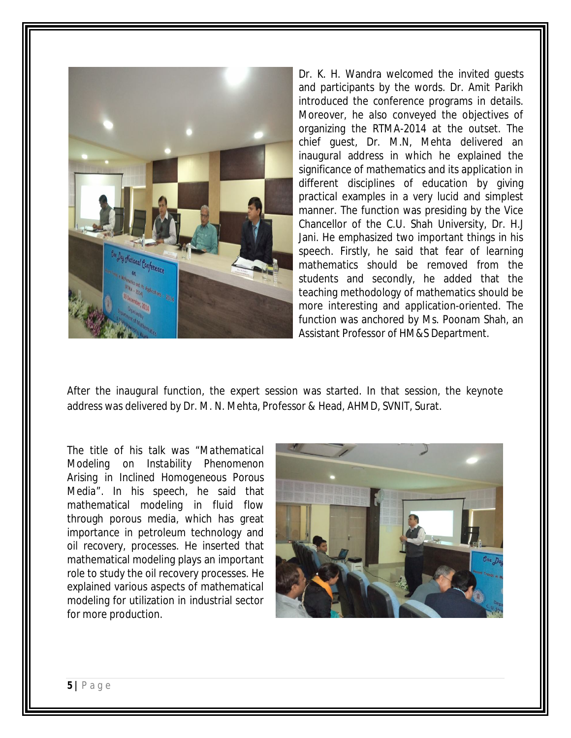

Dr. K. H. Wandra welcomed the invited guests and participants by the words. Dr. Amit Parikh introduced the conference programs in details. Moreover, he also conveyed the objectives of organizing the RTMA-2014 at the outset. The chief guest, Dr. M.N, Mehta delivered an inaugural address in which he explained the significance of mathematics and its application in different disciplines of education by giving practical examples in a very lucid and simplest manner. The function was presiding by the Vice Chancellor of the C.U. Shah University, Dr. H.J Jani. He emphasized two important things in his speech. Firstly, he said that fear of learning mathematics should be removed from the students and secondly, he added that the teaching methodology of mathematics should be more interesting and application-oriented. The function was anchored by Ms. Poonam Shah, an Assistant Professor of HM&S Department.

After the inaugural function, the expert session was started. In that session, the keynote address was delivered by Dr. M. N. Mehta, Professor & Head, AHMD, SVNIT, Surat.

The title of his talk was *"Mathematical Modeling on Instability Phenomenon Arising in Inclined Homogeneous Porous Media".* In his speech, he said that mathematical modeling in fluid flow through porous media, which has great importance in petroleum technology and oil recovery, processes. He inserted that mathematical modeling plays an important role to study the oil recovery processes. He explained various aspects of mathematical modeling for utilization in industrial sector for more production.

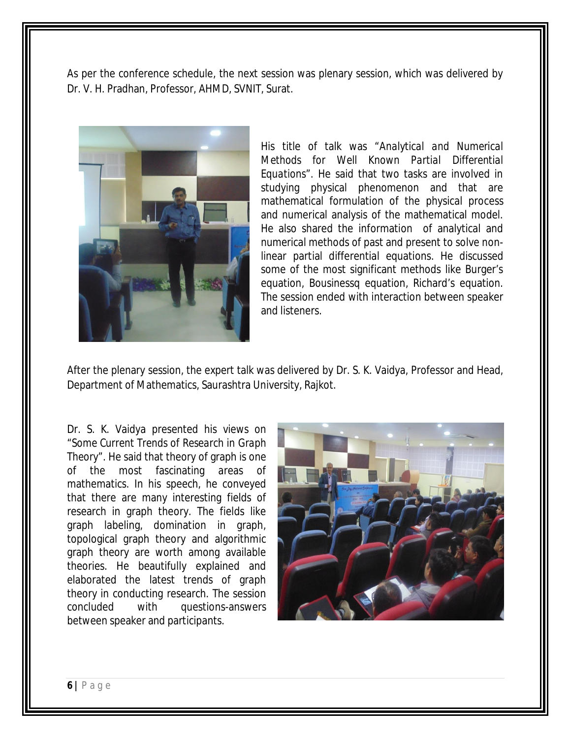As per the conference schedule, the next session was plenary session, which was delivered by Dr. V. H. Pradhan, Professor, AHMD, SVNIT, Surat.



His title of talk was "*Analytical and Numerical Methods for Well Known Partial Differential Equations".* He said that two tasks are involved in studying physical phenomenon and that are mathematical formulation of the physical process and numerical analysis of the mathematical model. He also shared the information of analytical and numerical methods of past and present to solve nonlinear partial differential equations. He discussed some of the most significant methods like Burger's equation, Bousinessq equation, Richard's equation. The session ended with interaction between speaker and listeners.

After the plenary session, the expert talk was delivered by Dr. S. K. Vaidya, Professor and Head, Department of Mathematics, Saurashtra University, Rajkot.

Dr. S. K. Vaidya presented his views on *"Some Current Trends of Research in Graph Theory".* He said that theory of graph is one of the most fascinating areas of mathematics. In his speech, he conveyed that there are many interesting fields of research in graph theory. The fields like graph labeling, domination in graph, topological graph theory and algorithmic graph theory are worth among available theories. He beautifully explained and elaborated the latest trends of graph theory in conducting research. The session concluded with questions-answers between speaker and participants.

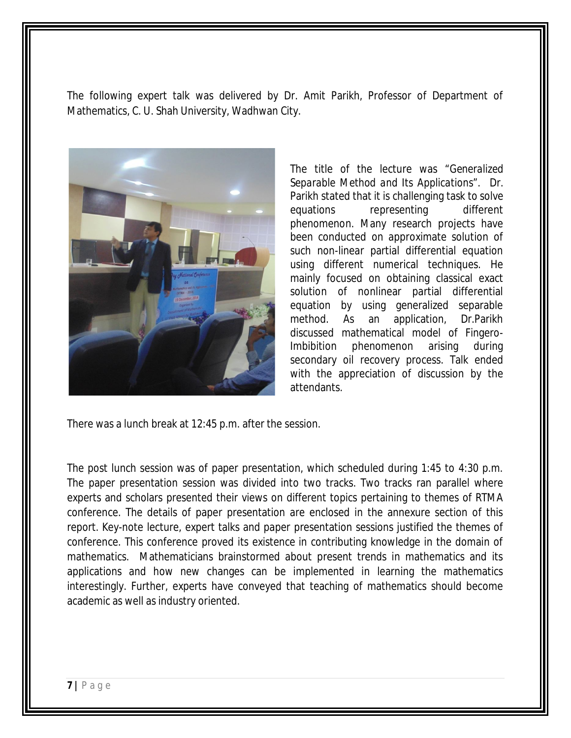The following expert talk was delivered by Dr. Amit Parikh, Professor of Department of Mathematics, C. U. Shah University, Wadhwan City.



The title of the lecture was "*Generalized Separable Method and Its Applications".* Dr. Parikh stated that it is challenging task to solve equations representing different phenomenon. Many research projects have been conducted on approximate solution of such non-linear partial differential equation using different numerical techniques. He mainly focused on obtaining classical exact solution of nonlinear partial differential equation by using generalized separable method. As an application, Dr.Parikh discussed mathematical model of Fingero-Imbibition phenomenon arising during secondary oil recovery process. Talk ended with the appreciation of discussion by the attendants.

There was a lunch break at 12:45 p.m. after the session.

The post lunch session was of paper presentation, which scheduled during 1:45 to 4:30 p.m. The paper presentation session was divided into two tracks. Two tracks ran parallel where experts and scholars presented their views on different topics pertaining to themes of RTMA conference. The details of paper presentation are enclosed in the annexure section of this report. Key-note lecture, expert talks and paper presentation sessions justified the themes of conference. This conference proved its existence in contributing knowledge in the domain of mathematics. Mathematicians brainstormed about present trends in mathematics and its applications and how new changes can be implemented in learning the mathematics interestingly. Further, experts have conveyed that teaching of mathematics should become academic as well as industry oriented.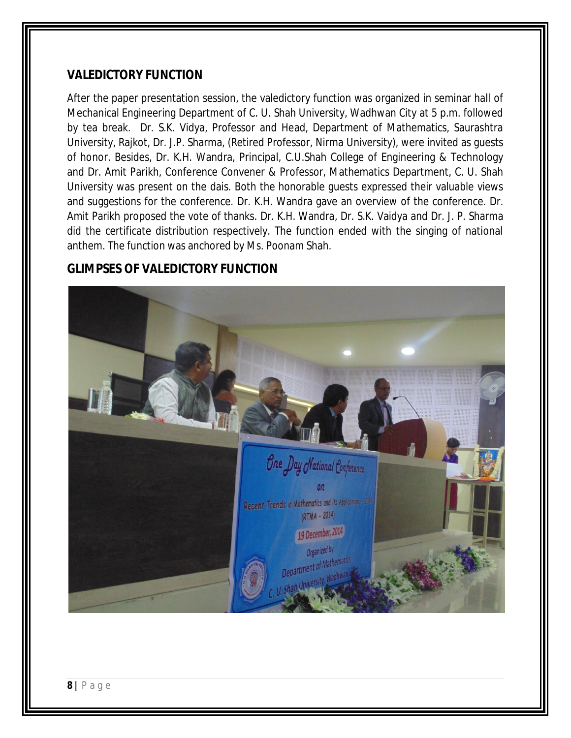#### **VALEDICTORY FUNCTION**

After the paper presentation session, the valedictory function was organized in seminar hall of Mechanical Engineering Department of C. U. Shah University, Wadhwan City at 5 p.m. followed by tea break. Dr. S.K. Vidya, Professor and Head, Department of Mathematics, Saurashtra University, Rajkot, Dr. J.P. Sharma, (Retired Professor, Nirma University), were invited as guests of honor. Besides, Dr. K.H. Wandra, Principal, C.U.Shah College of Engineering & Technology and Dr. Amit Parikh, Conference Convener & Professor, Mathematics Department, C. U. Shah University was present on the dais. Both the honorable guests expressed their valuable views and suggestions for the conference. Dr. K.H. Wandra gave an overview of the conference. Dr. Amit Parikh proposed the vote of thanks. Dr. K.H. Wandra, Dr. S.K. Vaidya and Dr. J. P. Sharma did the certificate distribution respectively. The function ended with the singing of national anthem. The function was anchored by Ms. Poonam Shah.

## **GLIMPSES OF VALEDICTORY FUNCTION**

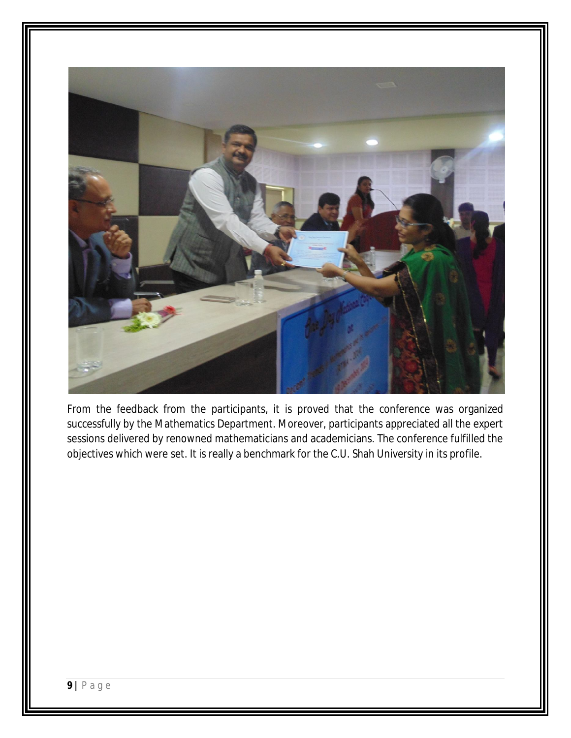

From the feedback from the participants, it is proved that the conference was organized successfully by the Mathematics Department. Moreover, participants appreciated all the expert sessions delivered by renowned mathematicians and academicians. The conference fulfilled the objectives which were set. It is really a benchmark for the C.U. Shah University in its profile.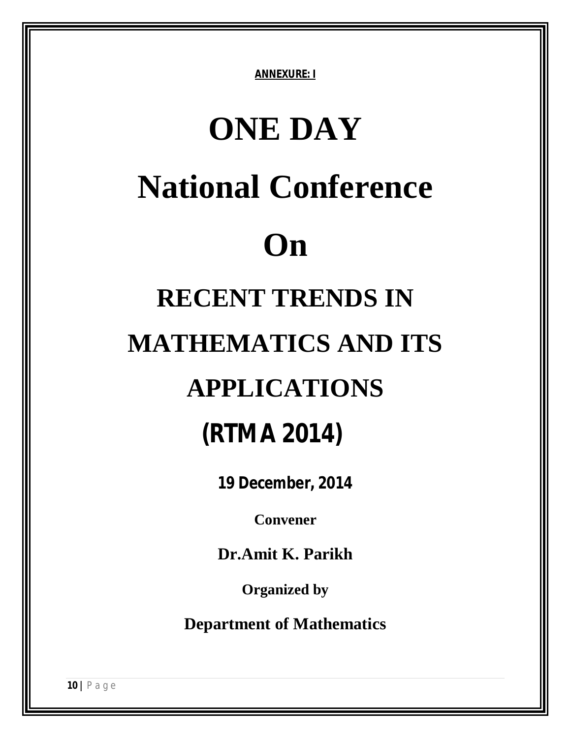**ANNEXURE: I**

# **ONE DAY National Conference On**

## **RECENT TRENDS IN MATHEMATICS AND ITS APPLICATIONS (RTMA 2014)**

**19 December, 2014**

**Convener**

**Dr.Amit K. Parikh**

**Organized by**

**Department of Mathematics**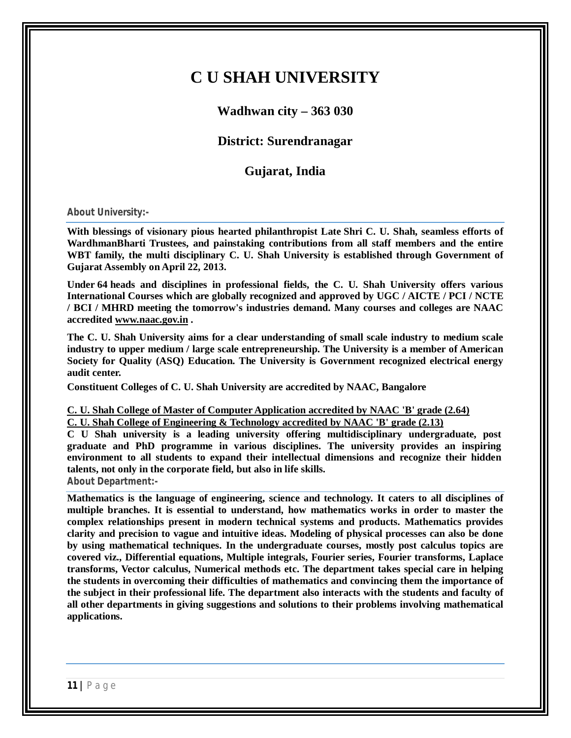## **C U SHAH UNIVERSITY**

**Wadhwan city – 363 030** 

#### **District: Surendranagar**

#### **Gujarat, India**

#### **About University:-**

**With blessings of visionary pious hearted philanthropist Late Shri C. U. Shah, seamless efforts of WardhmanBharti Trustees, and painstaking contributions from all staff members and the entire WBT family, the multi disciplinary C. U. Shah University is established through Government of Gujarat Assembly on April 22, 2013.**

**Under 64 heads and disciplines in professional fields, the C. U. Shah University offers various International Courses which are globally recognized and approved by UGC / AICTE / PCI / NCTE / BCI / MHRD meeting the tomorrow's industries demand. Many courses and colleges are NAAC accredited www.naac.gov.in .**

**The C. U. Shah University aims for a clear understanding of small scale industry to medium scale industry to upper medium / large scale entrepreneurship. The University is a member of American Society for Quality (ASQ) Education. The University is Government recognized electrical energy audit center.**

**Constituent Colleges of C. U. Shah University are accredited by NAAC, Bangalore**

#### **C. U. Shah College of Master of Computer Application accredited by NAAC 'B' grade (2.64) C. U. Shah College of Engineering & Technology accredited by NAAC 'B' grade (2.13)**

**C U Shah university is a leading university offering multidisciplinary undergraduate, post graduate and PhD programme in various disciplines. The university provides an inspiring environment to all students to expand their intellectual dimensions and recognize their hidden talents, not only in the corporate field, but also in life skills. About Department:-**

**Mathematics is the language of engineering, science and technology. It caters to all disciplines of multiple branches. It is essential to understand, how mathematics works in order to master the complex relationships present in modern technical systems and products. Mathematics provides clarity and precision to vague and intuitive ideas. Modeling of physical processes can also be done by using mathematical techniques. In the undergraduate courses, mostly post calculus topics are covered viz., Differential equations, Multiple integrals, Fourier series, Fourier transforms, Laplace transforms, Vector calculus, Numerical methods etc. The department takes special care in helping the students in overcoming their difficulties of mathematics and convincing them the importance of the subject in their professional life. The department also interacts with the students and faculty of all other departments in giving suggestions and solutions to their problems involving mathematical applications.**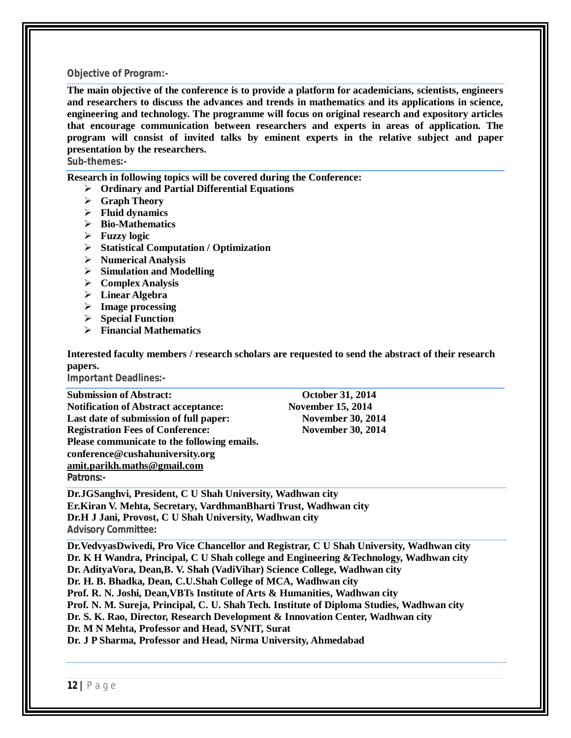#### **Objective of Program:-**

**The main objective of the conference is to provide a platform for academicians, scientists, engineers and researchers to discuss the advances and trends in mathematics and its applications in science, engineering and technology. The programme will focus on original research and expository articles that encourage communication between researchers and experts in areas of application. The program will consist of invited talks by eminent experts in the relative subject and paper presentation by the researchers.**

**Sub-themes:-**

**Research in following topics will be covered during the Conference:**

- **Ordinary and Partial Differential Equations**
- **Graph Theory**
- **Fluid dynamics**
- **Bio-Mathematics**
- **Fuzzy logic**
- **Statistical Computation / Optimization**
- **Numerical Analysis**
- **Simulation and Modelling**
- **Complex Analysis**
- **Linear Algebra**
- **Image processing**
- **Special Function**
- **Financial Mathematics**

**Interested faculty members / research scholars are requested to send the abstract of their research papers.**

**Important Deadlines:-**

| <b>Submission of Abstract:</b>                            | <b>October 31, 2014</b>  |  |
|-----------------------------------------------------------|--------------------------|--|
| <b>Notification of Abstract acceptance:</b>               | <b>November 15, 2014</b> |  |
| Last date of submission of full paper:                    | <b>November 30, 2014</b> |  |
| <b>Registration Fees of Conference:</b>                   | <b>November 30, 2014</b> |  |
| Please communicate to the following emails.               |                          |  |
| conference@cushahuniversity.org                           |                          |  |
| amit.parikh.maths@gmail.com                               |                          |  |
| <b>Patrons:-</b>                                          |                          |  |
| Dr. ICSanghy: Dresident C II Shah University Wadhwan eity |                          |  |

**Dr.JGSanghvi, President, C U Shah University, Wadhwan city Er.Kiran V. Mehta, Secretary, VardhmanBharti Trust, Wadhwan city Dr.H J Jani, Provost, C U Shah University, Wadhwan city Advisory Committee:**

**Dr.VedvyasDwivedi, Pro Vice Chancellor and Registrar, C U Shah University, Wadhwan city Dr. K H Wandra, Principal, C U Shah college and Engineering &Technology, Wadhwan city Dr. AdityaVora, Dean,B. V. Shah (VadiVihar) Science College, Wadhwan city Dr. H. B. Bhadka, Dean, C.U.Shah College of MCA, Wadhwan city Prof. R. N. Joshi, Dean,VBTs Institute of Arts & Humanities, Wadhwan city Prof. N. M. Sureja, Principal, C. U. Shah Tech. Institute of Diploma Studies, Wadhwan city Dr. S. K. Rao, Director, Research Development & Innovation Center, Wadhwan city Dr. M N Mehta, Professor and Head, SVNIT, Surat Dr. J P Sharma, Professor and Head, Nirma University, Ahmedabad**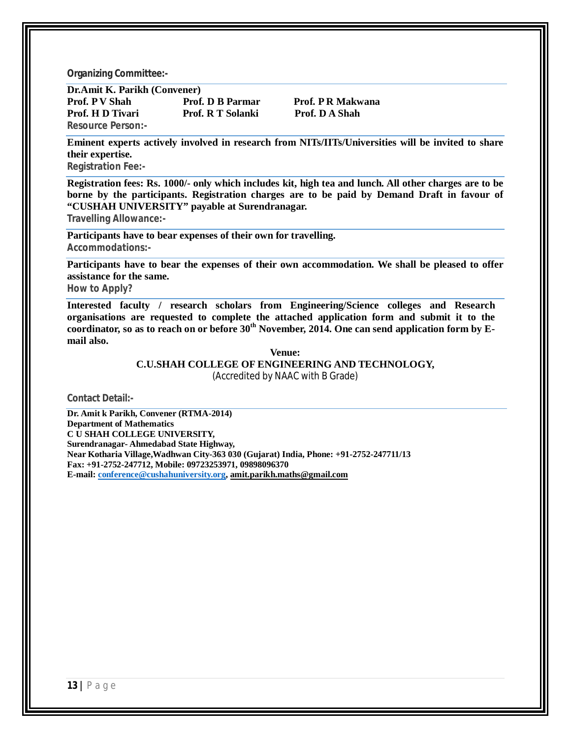**Organizing Committee:-**

**Dr.Amit K. Parikh (Convener) Prof. P V Shah Prof. D B Parmar Prof. P R Makwana** Prof. H D Tivari Prof. R T Solanki Prof. D A Shah **Resource Person:-**

**Eminent experts actively involved in research from NITs/IITs/Universities will be invited to share their expertise.**

**Registration Fee:-**

**Registration fees: Rs. 1000/- only which includes kit, high tea and lunch. All other charges are to be borne by the participants. Registration charges are to be paid by Demand Draft in favour of "CUSHAH UNIVERSITY" payable at Surendranagar.**

**Travelling Allowance:-**

**Participants have to bear expenses of their own for travelling. Accommodations:-**

**Participants have to bear the expenses of their own accommodation. We shall be pleased to offer assistance for the same.**

**How to Apply?**

**Interested faculty / research scholars from Engineering/Science colleges and Research organisations are requested to complete the attached application form and submit it to the coordinator, so as to reach on or before 30th November, 2014. One can send application form by Email also.**

> **Venue: C.U.SHAH COLLEGE OF ENGINEERING AND TECHNOLOGY,** (Accredited by NAAC with B Grade)

**Contact Detail:-**

**Dr. Amit k Parikh, Convener (RTMA-2014) Department of Mathematics C U SHAH COLLEGE UNIVERSITY, Surendranagar- Ahmedabad State Highway, Near Kotharia Village,Wadhwan City-363 030 (Gujarat) India, Phone: +91-2752-247711/13 Fax: +91-2752-247712, Mobile: 09723253971, 09898096370 E-mail: conference@cushahuniversity.org, amit.parikh.maths@gmail.com**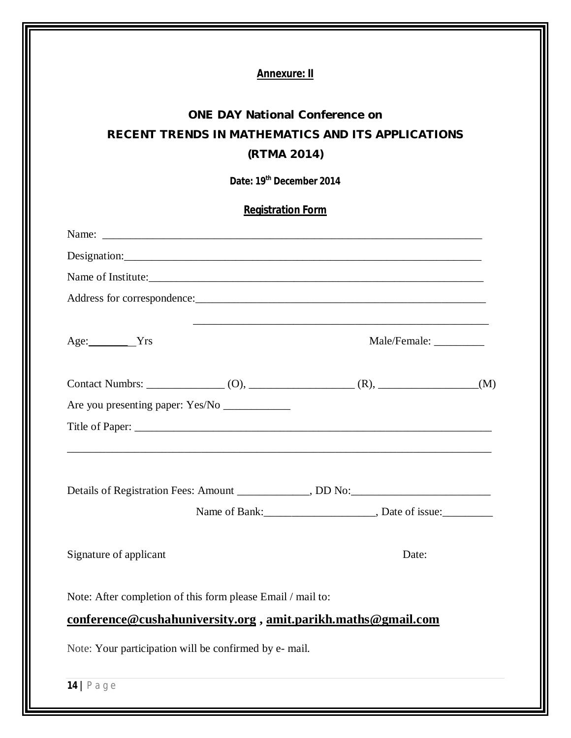| <b>Annexure: II</b>                                                                                       |                                                                                                                                                 |
|-----------------------------------------------------------------------------------------------------------|-------------------------------------------------------------------------------------------------------------------------------------------------|
| <b>ONE DAY National Conference on</b><br>RECENT TRENDS IN MATHEMATICS AND ITS APPLICATIONS<br>(RTMA 2014) |                                                                                                                                                 |
| Date: 19th December 2014                                                                                  |                                                                                                                                                 |
| <b>Registration Form</b>                                                                                  |                                                                                                                                                 |
|                                                                                                           |                                                                                                                                                 |
|                                                                                                           |                                                                                                                                                 |
|                                                                                                           |                                                                                                                                                 |
|                                                                                                           |                                                                                                                                                 |
| Age: IYrs                                                                                                 | <u> 1989 - Johann Harry Harry Harry Harry Harry Harry Harry Harry Harry Harry Harry Harry Harry Harry Harry Harry</u><br>Male/Female: _________ |
|                                                                                                           | (M)                                                                                                                                             |
|                                                                                                           |                                                                                                                                                 |
|                                                                                                           |                                                                                                                                                 |
| Details of Registration Fees: Amount _____________, DD No: ______________________                         |                                                                                                                                                 |
|                                                                                                           |                                                                                                                                                 |
| Signature of applicant                                                                                    | Date:                                                                                                                                           |
| Note: After completion of this form please Email / mail to:                                               |                                                                                                                                                 |
| conference@cushahuniversity.org, amit.parikh.maths@gmail.com                                              |                                                                                                                                                 |
| Note: Your participation will be confirmed by e- mail.                                                    |                                                                                                                                                 |
| $14$   Page                                                                                               |                                                                                                                                                 |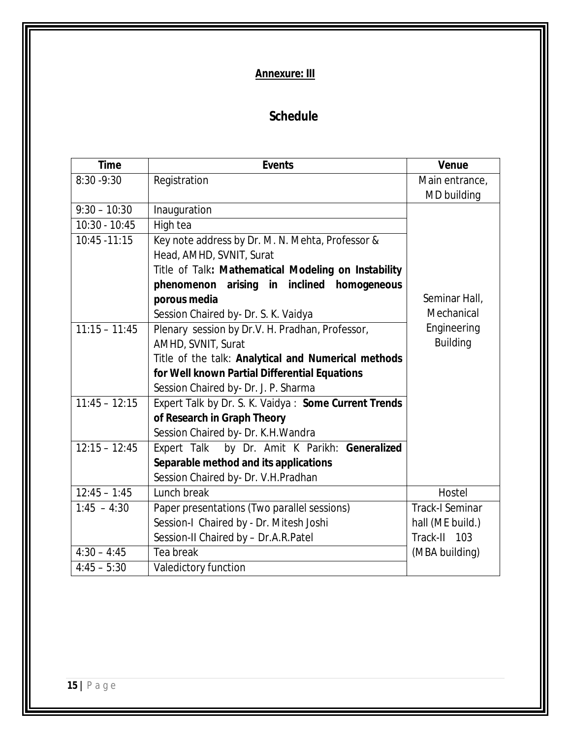## **Annexure: III**

## **Schedule**

| <b>Time</b>     | <b>Events</b>                                        | <b>Venue</b>           |
|-----------------|------------------------------------------------------|------------------------|
| $8:30 - 9:30$   | Registration                                         | Main entrance,         |
|                 |                                                      | MD building            |
| $9:30 - 10:30$  | Inauguration                                         |                        |
| 10:30 - 10:45   | High tea                                             |                        |
| 10:45 - 11:15   | Key note address by Dr. M. N. Mehta, Professor &     |                        |
|                 | Head, AMHD, SVNIT, Surat                             |                        |
|                 | Title of Talk: Mathematical Modeling on Instability  |                        |
|                 | phenomenon arising in inclined<br>homogeneous        |                        |
|                 | porous media                                         | Seminar Hall,          |
|                 | Session Chaired by- Dr. S. K. Vaidya                 | Mechanical             |
| $11:15 - 11:45$ | Plenary session by Dr.V. H. Pradhan, Professor,      | Engineering            |
|                 | AMHD, SVNIT, Surat                                   | <b>Building</b>        |
|                 | Title of the talk: Analytical and Numerical methods  |                        |
|                 | for Well known Partial Differential Equations        |                        |
|                 | Session Chaired by-Dr. J. P. Sharma                  |                        |
| $11:45 - 12:15$ | Expert Talk by Dr. S. K. Vaidya: Some Current Trends |                        |
|                 | of Research in Graph Theory                          |                        |
|                 | Session Chaired by- Dr. K.H. Wandra                  |                        |
| $12:15 - 12:45$ | Expert Talk<br>by Dr. Amit K Parikh: Generalized     |                        |
|                 | Separable method and its applications                |                        |
|                 | Session Chaired by- Dr. V.H.Pradhan                  |                        |
| $12:45 - 1:45$  | Lunch break                                          | Hostel                 |
| $1:45 - 4:30$   | Paper presentations (Two parallel sessions)          | <b>Track-I Seminar</b> |
|                 | Session-I Chaired by - Dr. Mitesh Joshi              | hall (ME build.)       |
|                 | Session-II Chaired by - Dr.A.R.Patel                 | Track-II 103           |
| $4:30 - 4:45$   | Tea break                                            | (MBA building)         |
| $4:45 - 5:30$   | Valedictory function                                 |                        |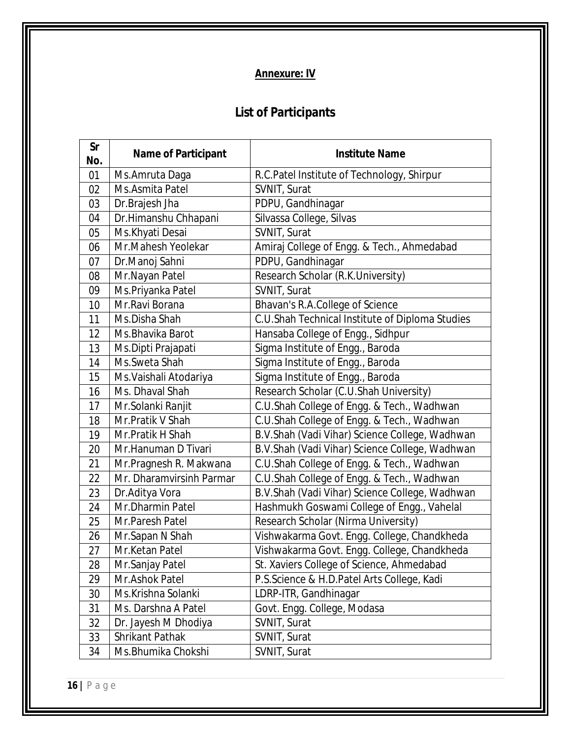## **Annexure: IV**

## **List of Participants**

| <b>Sr</b><br>No. | <b>Name of Participant</b> | <b>Institute Name</b>                           |
|------------------|----------------------------|-------------------------------------------------|
| 01               | Ms.Amruta Daga             | R.C. Patel Institute of Technology, Shirpur     |
| 02               | Ms.Asmita Patel            | SVNIT, Surat                                    |
| 03               | Dr.Brajesh Jha             | PDPU, Gandhinagar                               |
| 04               | Dr.Himanshu Chhapani       | Silvassa College, Silvas                        |
| 05               | Ms.Khyati Desai            | SVNIT, Surat                                    |
| 06               | Mr.Mahesh Yeolekar         | Amiraj College of Engg. & Tech., Ahmedabad      |
| 07               | Dr.Manoj Sahni             | PDPU, Gandhinagar                               |
| 08               | Mr.Nayan Patel             | Research Scholar (R.K.University)               |
| 09               | Ms.Priyanka Patel          | SVNIT, Surat                                    |
| 10               | Mr.Ravi Borana             | Bhavan's R.A.College of Science                 |
| 11               | Ms.Disha Shah              | C.U.Shah Technical Institute of Diploma Studies |
| 12               | Ms.Bhavika Barot           | Hansaba College of Engg., Sidhpur               |
| 13               | Ms.Dipti Prajapati         | Sigma Institute of Engg., Baroda                |
| 14               | Ms. Sweta Shah             | Sigma Institute of Engg., Baroda                |
| 15               | Ms. Vaishali Atodariya     | Sigma Institute of Engg., Baroda                |
| 16               | Ms. Dhaval Shah            | Research Scholar (C.U.Shah University)          |
| 17               | Mr.Solanki Ranjit          | C.U.Shah College of Engg. & Tech., Wadhwan      |
| 18               | Mr. Pratik V Shah          | C.U.Shah College of Engg. & Tech., Wadhwan      |
| 19               | Mr.Pratik H Shah           | B.V.Shah (Vadi Vihar) Science College, Wadhwan  |
| 20               | Mr.Hanuman D Tivari        | B.V.Shah (Vadi Vihar) Science College, Wadhwan  |
| 21               | Mr.Pragnesh R. Makwana     | C.U.Shah College of Engg. & Tech., Wadhwan      |
| 22               | Mr. Dharamvirsinh Parmar   | C.U.Shah College of Engg. & Tech., Wadhwan      |
| 23               | Dr. Aditya Vora            | B.V.Shah (Vadi Vihar) Science College, Wadhwan  |
| 24               | Mr.Dharmin Patel           | Hashmukh Goswami College of Engg., Vahelal      |
| 25               | Mr.Paresh Patel            | Research Scholar (Nirma University)             |
| 26               | Mr.Sapan N Shah            | Vishwakarma Govt. Engg. College, Chandkheda     |
| 27               | Mr.Ketan Patel             | Vishwakarma Govt. Engg. College, Chandkheda     |
| 28               | Mr.Sanjay Patel            | St. Xaviers College of Science, Ahmedabad       |
| 29               | Mr.Ashok Patel             | P.S.Science & H.D.Patel Arts College, Kadi      |
| 30               | Ms.Krishna Solanki         | LDRP-ITR, Gandhinagar                           |
| 31               | Ms. Darshna A Patel        | Govt. Engg. College, Modasa                     |
| 32               | Dr. Jayesh M Dhodiya       | SVNIT, Surat                                    |
| 33               | <b>Shrikant Pathak</b>     | SVNIT, Surat                                    |
| 34               | Ms.Bhumika Chokshi         | SVNIT, Surat                                    |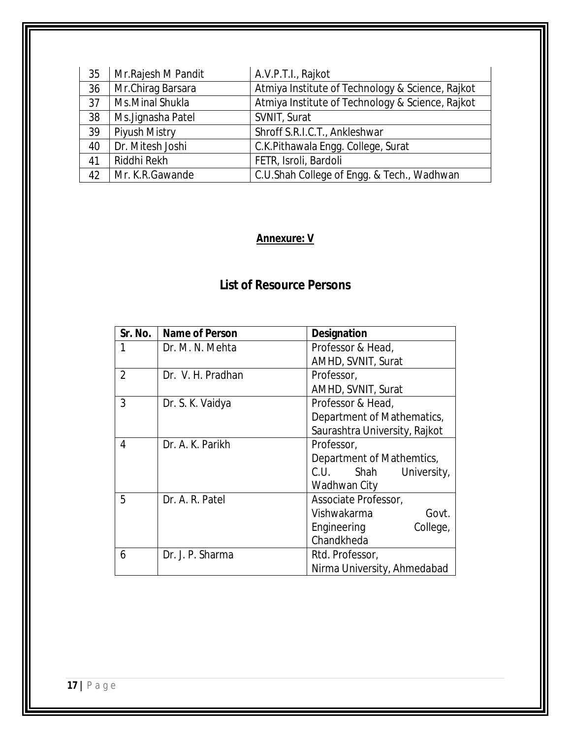| 35 | Mr.Rajesh M Pandit | A.V.P.T.I., Rajkot                               |
|----|--------------------|--------------------------------------------------|
| 36 | Mr.Chirag Barsara  | Atmiya Institute of Technology & Science, Rajkot |
| 37 | Ms.Minal Shukla    | Atmiya Institute of Technology & Science, Rajkot |
| 38 | Ms.Jignasha Patel  | SVNIT, Surat                                     |
| 39 | Piyush Mistry      | Shroff S.R.I.C.T., Ankleshwar                    |
| 40 | Dr. Mitesh Joshi   | C.K.Pithawala Engg. College, Surat               |
| 41 | Riddhi Rekh        | FETR, Isroli, Bardoli                            |
| 42 | Mr. K.R.Gawande    | C.U.Shah College of Engg. & Tech., Wadhwan       |

## **Annexure: V**

## **List of Resource Persons**

| Sr. No.        | <b>Name of Person</b> | <b>Designation</b>            |
|----------------|-----------------------|-------------------------------|
| 1              | Dr. M. N. Mehta       | Professor & Head,             |
|                |                       | AMHD, SVNIT, Surat            |
| $\overline{2}$ | Dr. V. H. Pradhan     | Professor,                    |
|                |                       | AMHD, SVNIT, Surat            |
| 3              | Dr. S. K. Vaidya      | Professor & Head,             |
|                |                       | Department of Mathematics,    |
|                |                       | Saurashtra University, Rajkot |
| 4              | Dr. A. K. Parikh      | Professor,                    |
|                |                       | Department of Mathemtics,     |
|                |                       | C.U. Shah<br>University,      |
|                |                       | Wadhwan City                  |
| 5              | Dr. A. R. Patel       | Associate Professor,          |
|                |                       | Vishwakarma<br>Govt.          |
|                |                       | Engineering<br>College,       |
|                |                       | Chandkheda                    |
| 6              | Dr. J. P. Sharma      | Rtd. Professor,               |
|                |                       | Nirma University, Ahmedabad   |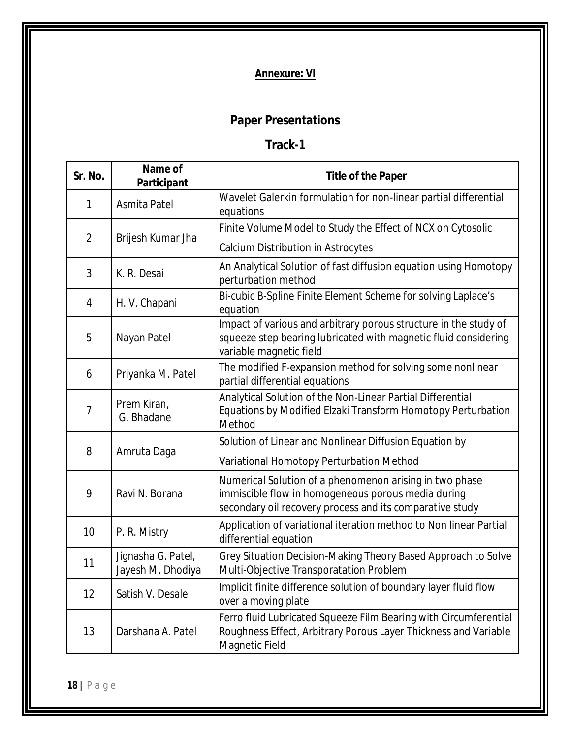## **Annexure: VI**

## **Paper Presentations**

## **Track-1**

| Sr. No.        | Name of<br>Participant                  | <b>Title of the Paper</b>                                                                                                                                                 |
|----------------|-----------------------------------------|---------------------------------------------------------------------------------------------------------------------------------------------------------------------------|
| 1              | Asmita Patel                            | Wavelet Galerkin formulation for non-linear partial differential<br>equations                                                                                             |
| $\overline{2}$ | Brijesh Kumar Jha                       | Finite Volume Model to Study the Effect of NCX on Cytosolic                                                                                                               |
|                |                                         | <b>Calcium Distribution in Astrocytes</b>                                                                                                                                 |
| 3              | K. R. Desai                             | An Analytical Solution of fast diffusion equation using Homotopy<br>perturbation method                                                                                   |
| 4              | H. V. Chapani                           | Bi-cubic B-Spline Finite Element Scheme for solving Laplace's<br>equation                                                                                                 |
| 5              | Nayan Patel                             | Impact of various and arbitrary porous structure in the study of<br>squeeze step bearing lubricated with magnetic fluid considering<br>variable magnetic field            |
| 6              | Priyanka M. Patel                       | The modified F-expansion method for solving some nonlinear<br>partial differential equations                                                                              |
| 7              | Prem Kiran,<br>G. Bhadane               | Analytical Solution of the Non-Linear Partial Differential<br>Equations by Modified Elzaki Transform Homotopy Perturbation<br>Method                                      |
| 8              | Amruta Daga                             | Solution of Linear and Nonlinear Diffusion Equation by                                                                                                                    |
|                |                                         | Variational Homotopy Perturbation Method                                                                                                                                  |
| 9              | Ravi N. Borana                          | Numerical Solution of a phenomenon arising in two phase<br>immiscible flow in homogeneous porous media during<br>secondary oil recovery process and its comparative study |
| 10             | P. R. Mistry                            | Application of variational iteration method to Non linear Partial<br>differential equation                                                                                |
| 11             | Jignasha G. Patel,<br>Jayesh M. Dhodiya | Grey Situation Decision-Making Theory Based Approach to Solve<br>Multi-Objective Transporatation Problem                                                                  |
| 12             | Satish V. Desale                        | Implicit finite difference solution of boundary layer fluid flow<br>over a moving plate                                                                                   |
| 13             | Darshana A. Patel                       | Ferro fluid Lubricated Squeeze Film Bearing with Circumferential<br>Roughness Effect, Arbitrary Porous Layer Thickness and Variable<br>Magnetic Field                     |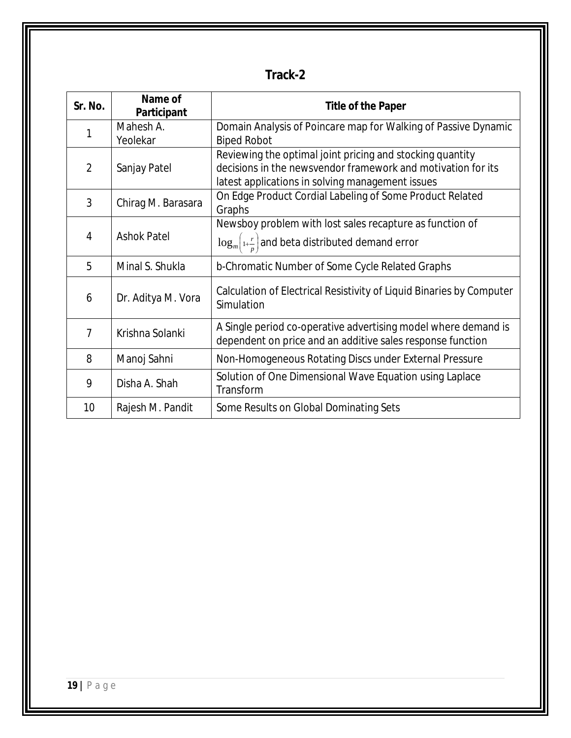## **Track-2**

| Sr. No.        | Name of<br><b>Participant</b> | <b>Title of the Paper</b>                                                                                                    |
|----------------|-------------------------------|------------------------------------------------------------------------------------------------------------------------------|
| 1              | Mahesh A.                     | Domain Analysis of Poincare map for Walking of Passive Dynamic                                                               |
|                | Yeolekar                      | <b>Biped Robot</b>                                                                                                           |
|                |                               | Reviewing the optimal joint pricing and stocking quantity                                                                    |
| 2              | Sanjay Patel                  | decisions in the newsvendor framework and motivation for its                                                                 |
|                |                               | latest applications in solving management issues                                                                             |
| 3              | Chirag M. Barasara            | On Edge Product Cordial Labeling of Some Product Related                                                                     |
|                |                               | Graphs                                                                                                                       |
|                | <b>Ashok Patel</b>            | Newsboy problem with lost sales recapture as function of                                                                     |
| 4              |                               | $\log_m\left(1+\frac{r}{p}\right)$ and beta distributed demand error                                                         |
| 5              | Minal S. Shukla               | b-Chromatic Number of Some Cycle Related Graphs                                                                              |
| 6              | Dr. Aditya M. Vora            | Calculation of Electrical Resistivity of Liquid Binaries by Computer<br>Simulation                                           |
| $\overline{7}$ | Krishna Solanki               | A Single period co-operative advertising model where demand is<br>dependent on price and an additive sales response function |
| 8              | Manoj Sahni                   | Non-Homogeneous Rotating Discs under External Pressure                                                                       |
| 9              | Disha A. Shah                 | Solution of One Dimensional Wave Equation using Laplace<br>Transform                                                         |
| 10             | Rajesh M. Pandit              | Some Results on Global Dominating Sets                                                                                       |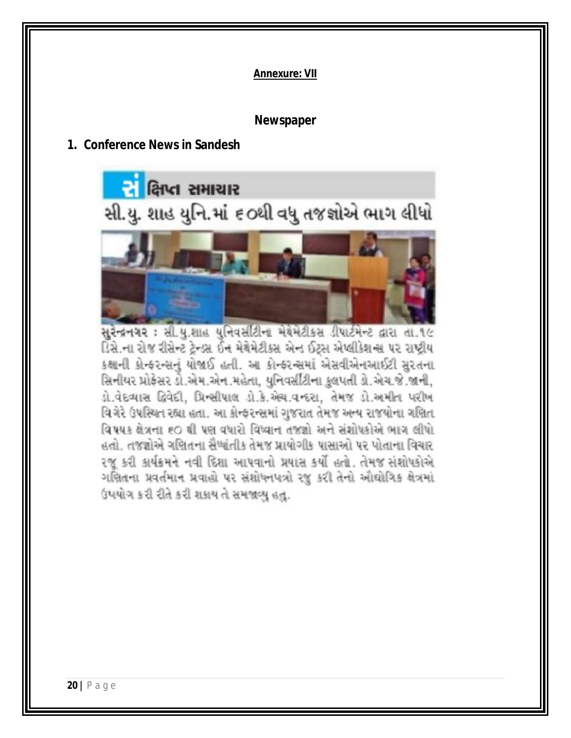#### **Annexure: VII**

#### **Newspaper**

#### **1. Conference News in Sandesh**



સુરેન્દ્રનગર: સી.યુ.શાહ યુનિવર્સીટીના મેથેમેટીકસ ડીપાર્ટમેન્ટ દ્વારા તા.૧૯ ડિસે.ના રોજ રીસેન્ટ ટ્રેન્ડ્સ ઈન મેથેમેટીક્સ એન્ડ ઈટ્સ એપ્લીકેશન્સ પર રાષ્ટ્રીય કક્ષાની કોન્ફરન્સનું યોજાઈ હતી. આ કોન્ફરન્સમાં એસવીએનઆઈટી સરતના સિનીયર પ્રોફેસર ડો.એમ.એન.મહેતા, યુનિવર્સીટીના કુલપતી ડો.એચ.જે.જાની, ડો.વેદવ્યાસ દ્વિદી, પ્રિન્સીપાલ ડો.કે.એચ.વન્દરા, તેમજ ડો.અમીત પરીખ વિગેરે ઉપસ્થિત રહ્યા હતા. આ કોન્ફરન્સમાં ગુજરાત તેમજ અન્ય રાજયોના ગણિત વિષયક ક્ષેત્રના ૬૦ થી પણ વધારો વિધ્વાન તજજ્ઞો અને સંશોધકોએ ભાગ લીધો હતો. તજજ્ઞોએ ગણિતના સૈર્ધ્યાંતીક તેમજ પ્રાયોગીક પાસાઓ પર પોતાના વિચાર રજ કરી કાર્યક્રમને નવી દિશા આપવાનો પ્રયાસ કર્યો હતો. તેમજ સંશોધકોએ ગણિતના પ્રવર્તમાન પ્રવાહો પર સંશોધનપત્રો રજૂ કરી તેનો ઔદ્યોગિક ક્ષેત્રમાં ઉપયોગ કરી રીતે કરી શકાય તે સમજાવ્યુ હતુ.